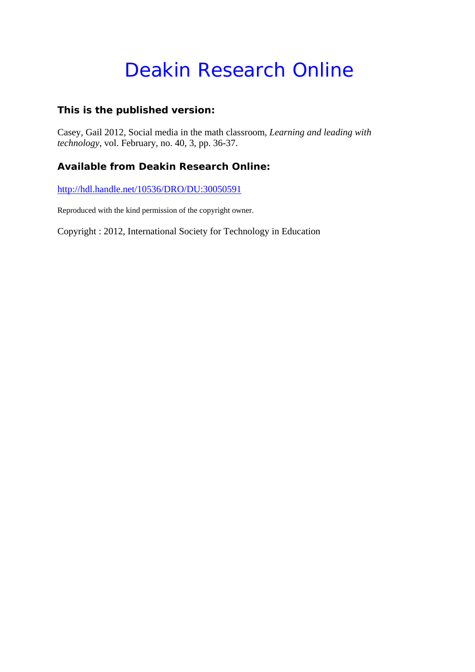## Deakin Research Online

#### **This is the published version:**

Casey, Gail 2012, Social media in the math classroom*, Learning and leading with technology*, vol. February, no. 40, 3, pp. 36-37.

#### **Available from Deakin Research Online:**

http://hdl.handle.net/10536/DRO/DU:30050591

Reproduced with the kind permission of the copyright owner.

Copyright : 2012, International Society for Technology in Education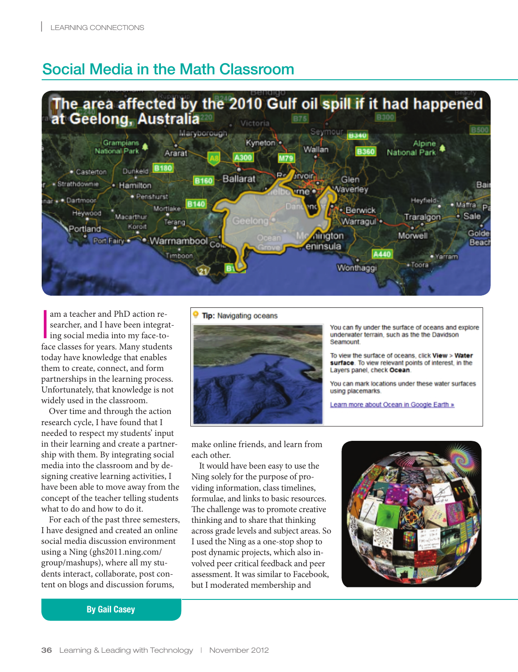## Social Media in the Math Classroom



am a teacher and PhD action re-<br>searcher, and I have been integrating social media into my face-toam a teacher and PhD action researcher, and I have been integratface classes for years. Many students today have knowledge that enables them to create, connect, and form partnerships in the learning process. Unfortunately, that knowledge is not widely used in the classroom.

Over time and through the action research cycle, I have found that I needed to respect my students' input in their learning and create a partnership with them. By integrating social media into the classroom and by designing creative learning activities, I have been able to move away from the concept of the teacher telling students what to do and how to do it.

For each of the past three semesters, I have designed and created an online social media discussion environment using a Ning (ghs2011.ning.com/ group/mashups), where all my students interact, collaborate, post content on blogs and discussion forums,

#### **Tip:** Navigating oceans



You can fly under the surface of oceans and explore underwater terrain, such as the the Davidson Seamount.

To view the surface of oceans, click View > Water surface. To view relevant points of interest, in the Layers panel, check Ocean.

You can mark locations under these water surfaces using placemarks.

Learn more about Ocean in Google Earth »

make online friends, and learn from each other.

It would have been easy to use the Ning solely for the purpose of providing information, class timelines, formulae, and links to basic resources. The challenge was to promote creative thinking and to share that thinking across grade levels and subject areas. So I used the Ning as a one-stop shop to post dynamic projects, which also involved peer critical feedback and peer assessment. It was similar to Facebook, but I moderated membership and



By Gail Casey